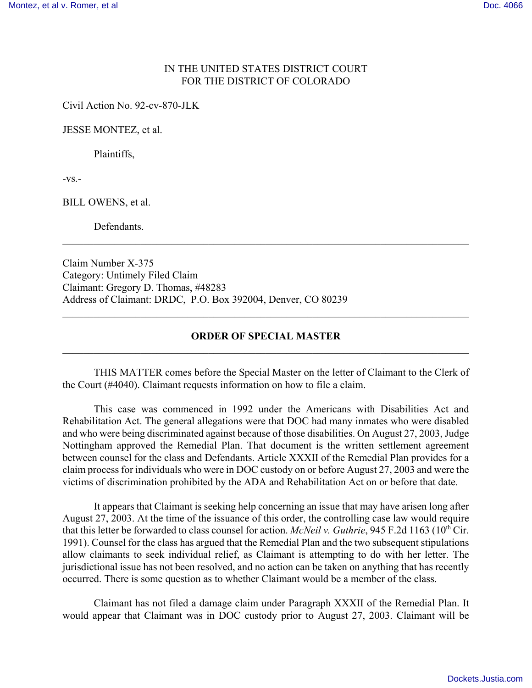## IN THE UNITED STATES DISTRICT COURT FOR THE DISTRICT OF COLORADO

Civil Action No. 92-cv-870-JLK

JESSE MONTEZ, et al.

Plaintiffs,

 $-VS$ . $-$ 

BILL OWENS, et al.

**Defendants** 

Claim Number X-375 Category: Untimely Filed Claim Claimant: Gregory D. Thomas, #48283 Address of Claimant: DRDC, P.O. Box 392004, Denver, CO 80239

## **ORDER OF SPECIAL MASTER**  $\mathcal{L}_\mathcal{L} = \{ \mathcal{L}_\mathcal{L} = \{ \mathcal{L}_\mathcal{L} = \{ \mathcal{L}_\mathcal{L} = \{ \mathcal{L}_\mathcal{L} = \{ \mathcal{L}_\mathcal{L} = \{ \mathcal{L}_\mathcal{L} = \{ \mathcal{L}_\mathcal{L} = \{ \mathcal{L}_\mathcal{L} = \{ \mathcal{L}_\mathcal{L} = \{ \mathcal{L}_\mathcal{L} = \{ \mathcal{L}_\mathcal{L} = \{ \mathcal{L}_\mathcal{L} = \{ \mathcal{L}_\mathcal{L} = \{ \mathcal{L}_\mathcal{$

 $\mathcal{L}_\mathcal{L} = \{ \mathcal{L}_\mathcal{L} = \{ \mathcal{L}_\mathcal{L} = \{ \mathcal{L}_\mathcal{L} = \{ \mathcal{L}_\mathcal{L} = \{ \mathcal{L}_\mathcal{L} = \{ \mathcal{L}_\mathcal{L} = \{ \mathcal{L}_\mathcal{L} = \{ \mathcal{L}_\mathcal{L} = \{ \mathcal{L}_\mathcal{L} = \{ \mathcal{L}_\mathcal{L} = \{ \mathcal{L}_\mathcal{L} = \{ \mathcal{L}_\mathcal{L} = \{ \mathcal{L}_\mathcal{L} = \{ \mathcal{L}_\mathcal{$ 

 $\mathcal{L}_\mathcal{L} = \{ \mathcal{L}_\mathcal{L} = \{ \mathcal{L}_\mathcal{L} = \{ \mathcal{L}_\mathcal{L} = \{ \mathcal{L}_\mathcal{L} = \{ \mathcal{L}_\mathcal{L} = \{ \mathcal{L}_\mathcal{L} = \{ \mathcal{L}_\mathcal{L} = \{ \mathcal{L}_\mathcal{L} = \{ \mathcal{L}_\mathcal{L} = \{ \mathcal{L}_\mathcal{L} = \{ \mathcal{L}_\mathcal{L} = \{ \mathcal{L}_\mathcal{L} = \{ \mathcal{L}_\mathcal{L} = \{ \mathcal{L}_\mathcal{$ 

THIS MATTER comes before the Special Master on the letter of Claimant to the Clerk of the Court (#4040). Claimant requests information on how to file a claim.

This case was commenced in 1992 under the Americans with Disabilities Act and Rehabilitation Act. The general allegations were that DOC had many inmates who were disabled and who were being discriminated against because of those disabilities. On August 27, 2003, Judge Nottingham approved the Remedial Plan. That document is the written settlement agreement between counsel for the class and Defendants. Article XXXII of the Remedial Plan provides for a claim process for individuals who were in DOC custody on or before August 27, 2003 and were the victims of discrimination prohibited by the ADA and Rehabilitation Act on or before that date.

It appears that Claimant is seeking help concerning an issue that may have arisen long after August 27, 2003. At the time of the issuance of this order, the controlling case law would require that this letter be forwarded to class counsel for action. *McNeil v. Guthrie*, 945 F.2d 1163 (10<sup>th</sup> Cir. 1991). Counsel for the class has argued that the Remedial Plan and the two subsequent stipulations allow claimants to seek individual relief, as Claimant is attempting to do with her letter. The jurisdictional issue has not been resolved, and no action can be taken on anything that has recently occurred. There is some question as to whether Claimant would be a member of the class.

Claimant has not filed a damage claim under Paragraph XXXII of the Remedial Plan. It would appear that Claimant was in DOC custody prior to August 27, 2003. Claimant will be